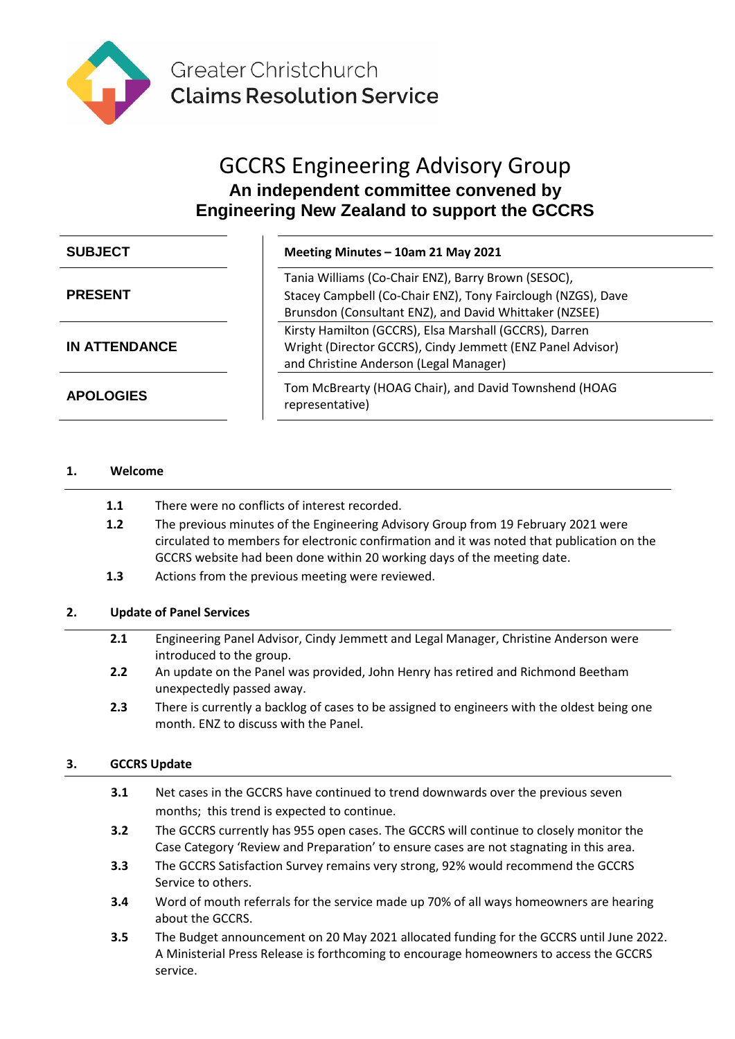

# GCCRS Engineering Advisory Group **An independent committee convened by Engineering New Zealand to support the GCCRS**

| <b>SUBJECT</b>       | Meeting Minutes - 10am 21 May 2021                                                                                                                                            |
|----------------------|-------------------------------------------------------------------------------------------------------------------------------------------------------------------------------|
| <b>PRESENT</b>       | Tania Williams (Co-Chair ENZ), Barry Brown (SESOC),<br>Stacey Campbell (Co-Chair ENZ), Tony Fairclough (NZGS), Dave<br>Brunsdon (Consultant ENZ), and David Whittaker (NZSEE) |
| <b>IN ATTENDANCE</b> | Kirsty Hamilton (GCCRS), Elsa Marshall (GCCRS), Darren<br>Wright (Director GCCRS), Cindy Jemmett (ENZ Panel Advisor)<br>and Christine Anderson (Legal Manager)                |
| <b>APOLOGIES</b>     | Tom McBrearty (HOAG Chair), and David Townshend (HOAG<br>representative)                                                                                                      |

# **1. Welcome**

| 1.1 | There were no conflicts of interest recorded. |
|-----|-----------------------------------------------|
|-----|-----------------------------------------------|

- **1.2** The previous minutes of the Engineering Advisory Group from 19 February 2021 were circulated to members for electronic confirmation and it was noted that publication on the GCCRS website had been done within 20 working days of the meeting date.
- **1.3** Actions from the previous meeting were reviewed.

## **2. Update of Panel Services**

- **2.1** Engineering Panel Advisor, Cindy Jemmett and Legal Manager, Christine Anderson were introduced to the group.
- **2.2** An update on the Panel was provided, John Henry has retired and Richmond Beetham unexpectedly passed away.
- **2.3** There is currently a backlog of cases to be assigned to engineers with the oldest being one month. ENZ to discuss with the Panel.

## **3. GCCRS Update**

- **3.1** Net cases in the GCCRS have continued to trend downwards over the previous seven months; this trend is expected to continue.
- **3.2** The GCCRS currently has 955 open cases. The GCCRS will continue to closely monitor the Case Category 'Review and Preparation' to ensure cases are not stagnating in this area.
- **3.3** The GCCRS Satisfaction Survey remains very strong, 92% would recommend the GCCRS Service to others.
- **3.4** Word of mouth referrals for the service made up 70% of all ways homeowners are hearing about the GCCRS.
- **3.5** The Budget announcement on 20 May 2021 allocated funding for the GCCRS until June 2022. A Ministerial Press Release is forthcoming to encourage homeowners to access the GCCRS service.